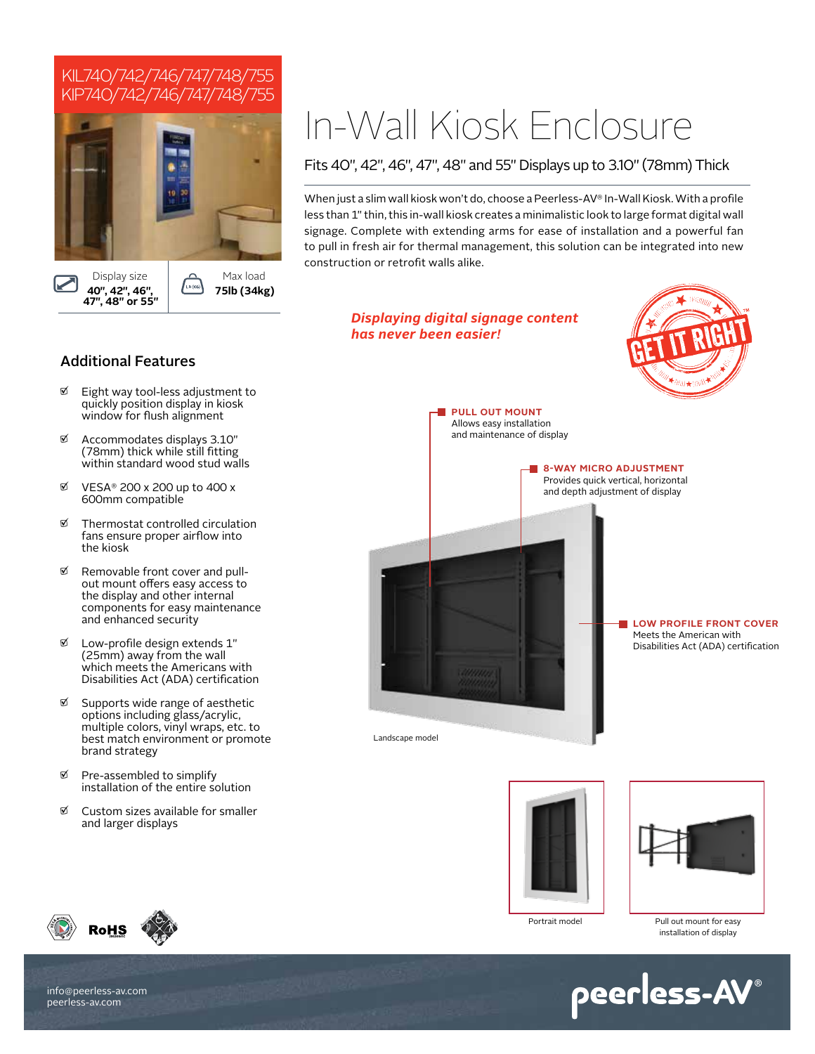# KIL740/742/746/747/748/755 KIP740/742/746/747/748/755



# In-Wall Kiosk Enclosure

*Displaying digital signage content* 

*has never been easier!*

# Fits 40", 42", 46", 47", 48" and 55" Displays up to 3.10" (78mm) Thick

When just a slim wall kiosk won't do, choose a Peerless-AV® In-Wall Kiosk. With a profile less than 1" thin, this in-wall kiosk creates a minimalistic look to large format digital wall signage. Complete with extending arms for ease of installation and a powerful fan to pull in fresh air for thermal management, this solution can be integrated into new construction or retrofit walls alike.

# Additional Features

- Eight way tool-less adjustment to quickly position display in kiosk window for flush alignment
- Accommodates displays 3.10" (78mm) thick while still fitting within standard wood stud walls
- $\%$  VESA® 200 x 200 up to 400 x 600mm compatible
- $\mathfrak{A}$  Thermostat controlled circulation fans ensure proper airflow into the kiosk
- $\%$  Removable front cover and pullout mount offers easy access to the display and other internal components for easy maintenance and enhanced security
- Low-profile design extends 1" (25mm) away from the wall which meets the Americans with Disabilities Act (ADA) certification
- g Supports wide range of aesthetic options including glass/acrylic, multiple colors, vinyl wraps, etc. to best match environment or promote brand strategy
- Pre-assembled to simplify installation of the entire solution
- $\%$  Custom sizes available for smaller and larger displays











Portrait model Pull out mount for easy installation of display



**RoHS**